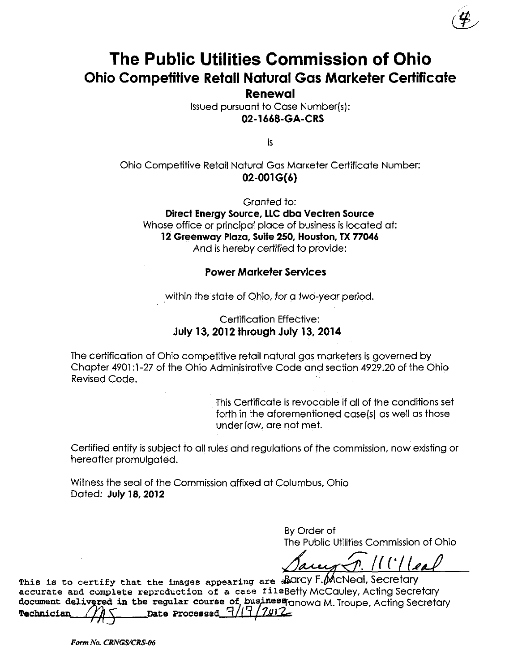# The Public Utilities Commission of Ohio Ohio Competitive Retail Natural Gas Marketer Certificate

Renewal

Issued pursuant to Case Number(s): 02-1668-GA-CRS

Is

## Ohio Competitive Retail Natural Gas Marketer Certificate Number: 02-001 G(6)

Granted to:

Direct Energy Source, LLC dba Vectren Source Whose office or principal place of business is located at: 12 Greenway Plaza, Suite 250, Houston, TX 77046 And is hereby certified to provide:

#### Power Marketer Services

within the state of Ohio, for a two-year period.

### Certification Effective: July 13, 2012 through July 13, 2014

The certification of Ohio competitive retail natural gas marketers is governed by Chapter 4901:1-27 of the Ohio Administrative Code and section 4929.20 of the Ohio Revised Code.

> This Certificate is revocable if all of the conditions set forth in the aforementioned case(s) as well as those under law, are not met.

Certified entity is subject to all rules and regulations of the commission, now existing or hereafter promulgated.

Witness the seal of the Commission affixed at Columbus, Ohio Dated: July 18,2012

> By Order of The Public Utilities Commission of Ohio

 $^{\prime\prime}$  ('/ $^{\prime}$ ]

This is to certify that the images appearing are abdICY F. McNeal, Secretary accurate and complete reproduction of a case fileBetty McCauley, Acting Secretary document delivered in the regular course of business anowa M. Troupe, Acting Secretary Technician  $\frac{1}{\sqrt{15}}$  pate Processed  $\frac{7}{17}$ 

Form No. CRNGS/CRS-06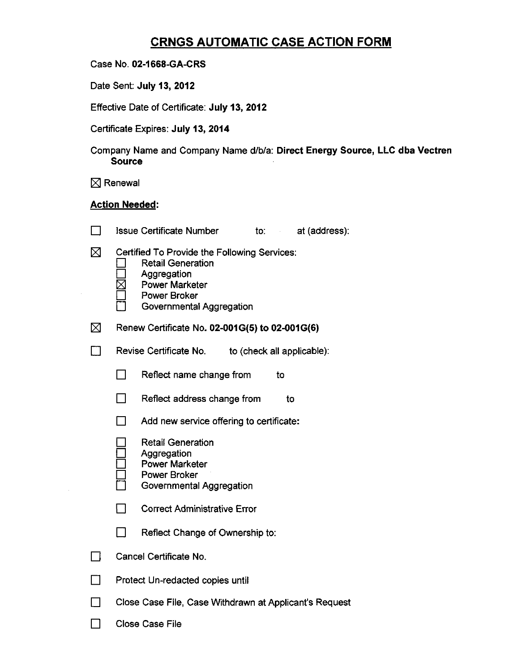## CRNGS AUTOMATIC CASE ACTION FORM

| Case No. 02-1668-GA-CRS |  |  |  |
|-------------------------|--|--|--|
|-------------------------|--|--|--|

Date Sent: July 13, 2012

Effective Date of Certificate: July 13, 2012

Certificate Expires: July 13, 2014

Company Name and Company Name d/b/a: Direct Energy Source, LLC dba Vectren Source

 $\boxtimes$  Renewal

### Action Needed:

|             | <b>Issue Certificate Number</b>                                                                                                                              | at (address).<br>to:                |  |  |  |
|-------------|--------------------------------------------------------------------------------------------------------------------------------------------------------------|-------------------------------------|--|--|--|
| ⊠           | Certified To Provide the Following Services:<br><b>Retail Generation</b><br>Aggregation<br><b>Power Marketer</b><br>Power Broker<br>Governmental Aggregation |                                     |  |  |  |
| $\boxtimes$ | Renew Certificate No. 02-001G(5) to 02-001G(6)                                                                                                               |                                     |  |  |  |
|             | Revise Certificate No.                                                                                                                                       | to (check all applicable):          |  |  |  |
|             | Reflect name change from                                                                                                                                     | to                                  |  |  |  |
|             | Reflect address change from                                                                                                                                  | to                                  |  |  |  |
|             | Add new service offering to certificate:                                                                                                                     |                                     |  |  |  |
|             | <b>Retail Generation</b><br>Aggregation<br><b>Power Marketer</b><br><b>Power Broker</b><br>Governmental Aggregation                                          |                                     |  |  |  |
|             |                                                                                                                                                              | <b>Correct Administrative Error</b> |  |  |  |
|             | Reflect Change of Ownership to:                                                                                                                              |                                     |  |  |  |
|             | Cancel Certificate No.                                                                                                                                       |                                     |  |  |  |
|             | Protect Un-redacted copies until                                                                                                                             |                                     |  |  |  |
|             | Close Case File, Case Withdrawn at Applicant's Request                                                                                                       |                                     |  |  |  |
|             | <b>Close Case File</b>                                                                                                                                       |                                     |  |  |  |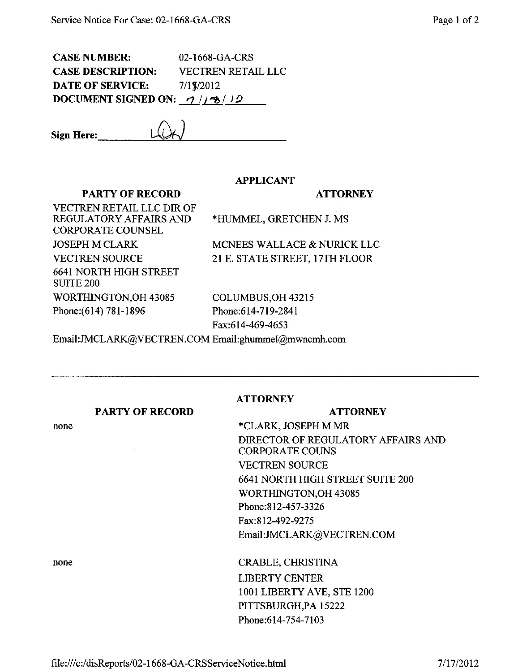CASE NUMBER: 02-1668-GA-CRS CASE DESCRIPTION: VECTREN RETAIL LLC **DATE OF SERVICE:** 7/1\7/2012 DOCUMENT SIGNED ON:  $\frac{1}{2}$  /  $\frac{1}{2}$ 

#### APPLICANT

#### PARTY OF RECORD

#### **ATTORNEY**

VECTREN RETAIL LLC DIR OF REGULATORY AFFAIRS AND CORPORATE COUNSEL JOSEPH M CLARK VECTREN SOURCE 6641 NORTH HIGH STREET SUITE 200 WORTHINGTON,OH 43085 Phone: (614) 781-1896

\*HUMMEL, GRETCHEN J. MS

MCNEES WALLACE & NURICK LLC 21 E. STATE STREET, 17TH FLOOR

COLUMBUS,OH 43215 Phone:614-719-2841 Fax:614-469-4653

Email:JMCLARK@VECTREN.COMEmail:[ghummel@mwncmh.com](mailto:ghummel@mwncmh.com) 

PARTY OF RECORD

none

## **ATTORNEY**

\*CLARK, JOSEPH M MR DIRECTOR OF REGULATORY AFFAIRS AND CORPORATE COUNS VECTREN SOURCE 6641 NORTH HIGH STREET SUITE 200 WORTHINGTON,OH 43085 Phone:812-457-3326 Fax:812-492-9275 Email:JMCLARK(a)YECTREN.COM

**ATTORNEY** 

none CRABLE, CHRISTINA LIBERTY CENTER 1001 LIBERTY AVE, STE 1200 PITTSBURGH,PA 15222 Phone:614-754-7103